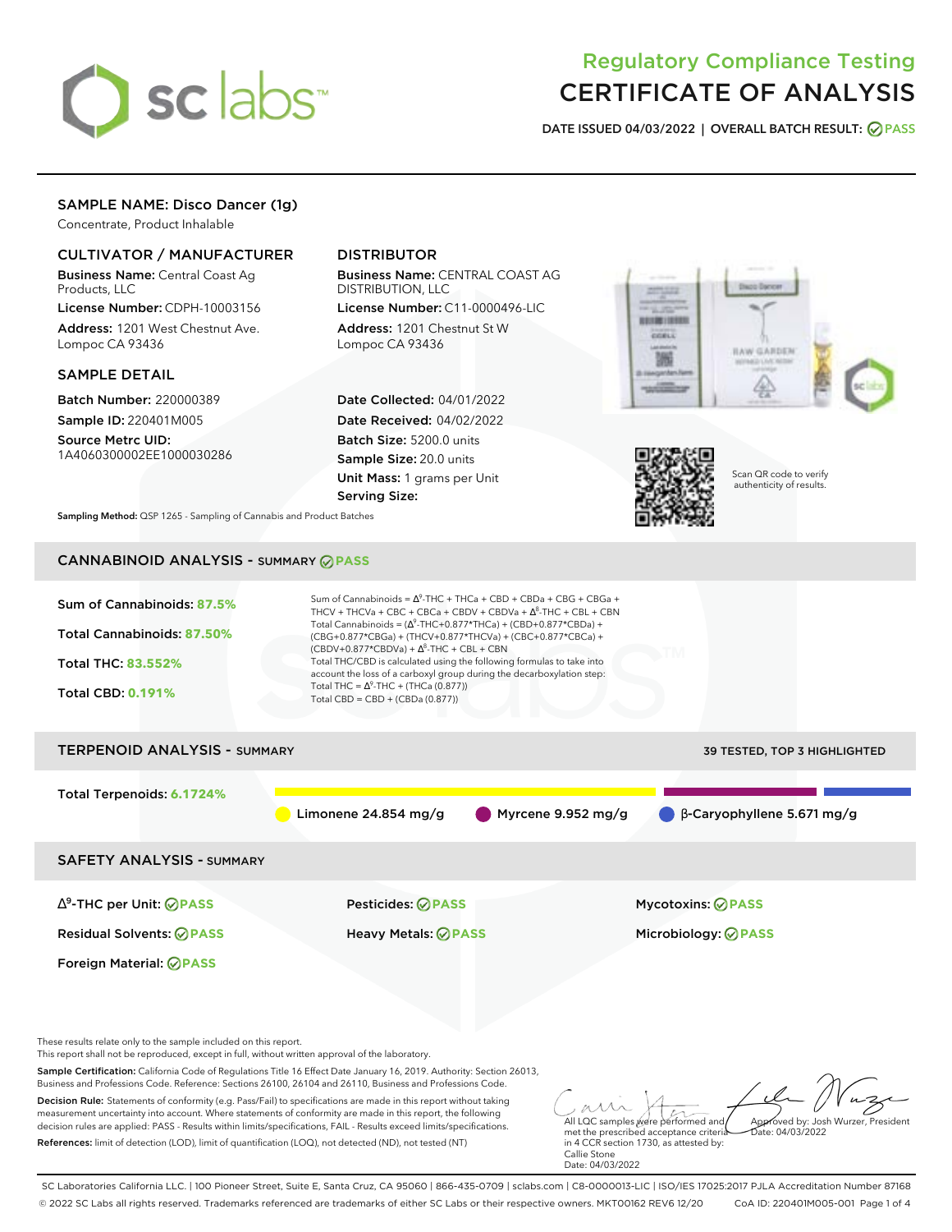

# Regulatory Compliance Testing CERTIFICATE OF ANALYSIS

**DATE ISSUED 04/03/2022 | OVERALL BATCH RESULT: PASS**

# SAMPLE NAME: Disco Dancer (1g)

Concentrate, Product Inhalable

### CULTIVATOR / MANUFACTURER

Business Name: Central Coast Ag Products, LLC

License Number: CDPH-10003156 Address: 1201 West Chestnut Ave. Lompoc CA 93436

### SAMPLE DETAIL

Batch Number: 220000389 Sample ID: 220401M005

Source Metrc UID: 1A4060300002EE1000030286

## DISTRIBUTOR

Business Name: CENTRAL COAST AG DISTRIBUTION, LLC

License Number: C11-0000496-LIC Address: 1201 Chestnut St W Lompoc CA 93436

Date Collected: 04/01/2022 Date Received: 04/02/2022 Batch Size: 5200.0 units Sample Size: 20.0 units Unit Mass: 1 grams per Unit Serving Size:





Scan QR code to verify authenticity of results.

**Sampling Method:** QSP 1265 - Sampling of Cannabis and Product Batches

# CANNABINOID ANALYSIS - SUMMARY **PASS**



References: limit of detection (LOD), limit of quantification (LOQ), not detected (ND), not tested (NT)

All LQC samples were performed and met the prescribed acceptance criteria in 4 CCR section 1730, as attested by: Callie Stone Date: 04/03/2022  $hat: 04/03/2022$ 

SC Laboratories California LLC. | 100 Pioneer Street, Suite E, Santa Cruz, CA 95060 | 866-435-0709 | sclabs.com | C8-0000013-LIC | ISO/IES 17025:2017 PJLA Accreditation Number 87168 © 2022 SC Labs all rights reserved. Trademarks referenced are trademarks of either SC Labs or their respective owners. MKT00162 REV6 12/20 CoA ID: 220401M005-001 Page 1 of 4